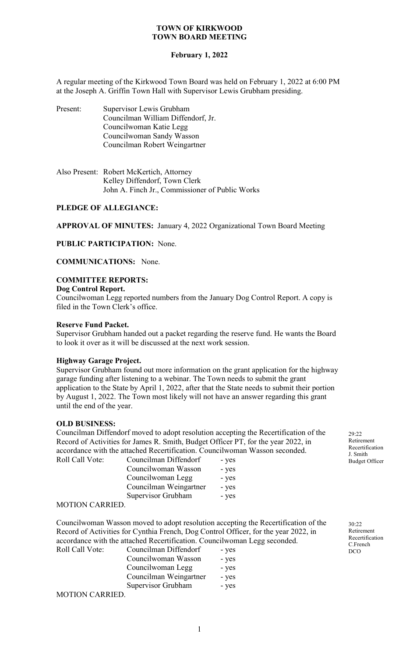#### **February 1, 2022**

A regular meeting of the Kirkwood Town Board was held on February 1, 2022 at 6:00 PM at the Joseph A. Griffin Town Hall with Supervisor Lewis Grubham presiding.

| Present: | Supervisor Lewis Grubham           |
|----------|------------------------------------|
|          | Councilman William Diffendorf, Jr. |
|          | Councilwoman Katie Legg            |
|          | Councilwoman Sandy Wasson          |
|          | Councilman Robert Weingartner      |

| Also Present: Robert McKertich, Attorney        |
|-------------------------------------------------|
| Kelley Diffendorf, Town Clerk                   |
| John A. Finch Jr., Commissioner of Public Works |

### **PLEDGE OF ALLEGIANCE:**

**APPROVAL OF MINUTES:** January 4, 2022 Organizational Town Board Meeting

**PUBLIC PARTICIPATION:** None.

**COMMUNICATIONS:** None.

## **COMMITTEE REPORTS:**

#### **Dog Control Report.**

Councilwoman Legg reported numbers from the January Dog Control Report. A copy is filed in the Town Clerk's office.

## **Reserve Fund Packet.**

Supervisor Grubham handed out a packet regarding the reserve fund. He wants the Board to look it over as it will be discussed at the next work session.

#### **Highway Garage Project.**

Supervisor Grubham found out more information on the grant application for the highway garage funding after listening to a webinar. The Town needs to submit the grant application to the State by April 1, 2022, after that the State needs to submit their portion by August 1, 2022. The Town most likely will not have an answer regarding this grant until the end of the year.

#### **OLD BUSINESS:**

Councilman Diffendorf moved to adopt resolution accepting the Recertification of the Record of Activities for James R. Smith, Budget Officer PT, for the year 2022, in accordance with the attached Recertification. Councilwoman Wasson seconded. Roll Call Vote: Councilman Diffendorf - yes

| $-$ y $ \circ$ |
|----------------|
| - yes          |
| - yes          |
| - yes          |
| - yes          |
|                |

#### MOTION CARRIED.

Councilwoman Wasson moved to adopt resolution accepting the Recertification of the Record of Activities for Cynthia French, Dog Control Officer, for the year 2022, in accordance with the attached Recertification. Councilwoman Legg seconded.

| Roll Call Vote: | Councilman Diffendorf  | - yes |
|-----------------|------------------------|-------|
|                 | Councilwoman Wasson    | - yes |
|                 | Councilwoman Legg      | - yes |
|                 | Councilman Weingartner | - yes |
|                 | Supervisor Grubham     | - yes |
| MOTION CARRIED  |                        |       |

MOTION CARRIED.

29:22 Retirement Recertification J. Smith Budget Officer

30:22 Retirement Recertification C.French DCO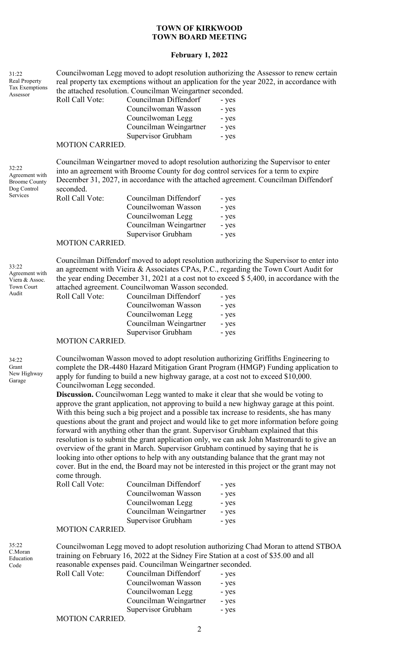#### **February 1, 2022**

31:22 Real Property Tax Exemptions Assessor

Councilwoman Legg moved to adopt resolution authorizing the Assessor to renew certain real property tax exemptions without an application for the year 2022, in accordance with the attached resolution. Councilman Weingartner seconded.

| Councilman Diffendorf  | - yes |
|------------------------|-------|
| Councilwoman Wasson    | - yes |
| Councilwoman Legg      | - yes |
| Councilman Weingartner | - yes |
| Supervisor Grubham     | - yes |
|                        |       |

#### MOTION CARRIED.

Roll Call Vote:

32:22 Agreement with Broome County Dog Control Services

33:22

Agreement with Viera & Assoc. Town Court Audit

Councilman Weingartner moved to adopt resolution authorizing the Supervisor to enter into an agreement with Broome County for dog control services for a term to expire December 31, 2027, in accordance with the attached agreement. Councilman Diffendorf seconded.

| Roll Call Vote:      | Councilman Diffendorf  | - yes |
|----------------------|------------------------|-------|
|                      | Councilwoman Wasson    | - yes |
|                      | Councilwoman Legg      | - yes |
|                      | Councilman Weingartner | - yes |
|                      | Supervisor Grubham     | - yes |
| $M\cap TIM M \cap M$ |                        |       |

#### MOTION CARRIED.

Councilman Diffendorf moved to adopt resolution authorizing the Supervisor to enter into an agreement with Vieira & Associates CPAs, P.C., regarding the Town Court Audit for the year ending December 31, 2021 at a cost not to exceed \$ 5,400, in accordance with the aatta Councilwoman Wa

|                        | attached agreement. Councilwoman wasson seconded. |       |
|------------------------|---------------------------------------------------|-------|
| Roll Call Vote:        | Councilman Diffendorf                             | - yes |
|                        | Councilwoman Wasson                               | - yes |
|                        | Councilwoman Legg                                 | - yes |
|                        | Councilman Weingartner                            | - yes |
|                        | Supervisor Grubham                                | - yes |
| $M\cap TI\cap M\cap T$ |                                                   |       |

#### MOTION CARRIED.

34:22 Grant New Highway Garage

35:22 C.Moran Education Code

Councilwoman Wasson moved to adopt resolution authorizing Griffiths Engineering to complete the DR-4480 Hazard Mitigation Grant Program (HMGP) Funding application to apply for funding to build a new highway garage, at a cost not to exceed \$10,000. Councilwoman Legg seconded.

**Discussion.** Councilwoman Legg wanted to make it clear that she would be voting to approve the grant application, not approving to build a new highway garage at this point. With this being such a big project and a possible tax increase to residents, she has many questions about the grant and project and would like to get more information before going forward with anything other than the grant. Supervisor Grubham explained that this resolution is to submit the grant application only, we can ask John Mastronardi to give an overview of the grant in March. Supervisor Grubham continued by saying that he is looking into other options to help with any outstanding balance that the grant may not cover. But in the end, the Board may not be interested in this project or the grant may not come through.

| Roll Call Vote: | Councilman Diffendorf  | - yes |
|-----------------|------------------------|-------|
|                 | Councilwoman Wasson    | - yes |
|                 | Councilwoman Legg      | - yes |
|                 | Councilman Weingartner | - yes |
|                 | Supervisor Grubham     | - yes |
|                 |                        |       |

#### MOTION CARRIED.

Councilwoman Legg moved to adopt resolution authorizing Chad Moran to attend STBOA training on February 16, 2022 at the Sidney Fire Station at a cost of \$35.00 and all reasonable expenses paid. Councilman Weingartner seconded.

| Roll Call Vote: | Councilman Diffendorf  | - yes |
|-----------------|------------------------|-------|
|                 | Councilwoman Wasson    | - yes |
|                 | Councilwoman Legg      | - yes |
|                 | Councilman Weingartner | - yes |
|                 | Supervisor Grubham     | - yes |
|                 |                        |       |

#### MOTION CARRIED.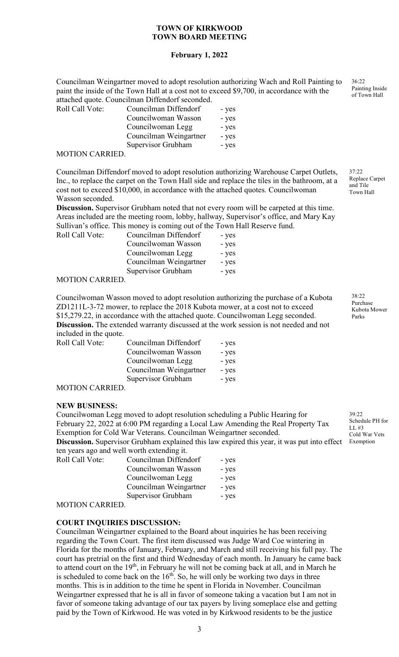## **February 1, 2022**

Councilman Weingartner moved to adopt resolution authorizing Wach and Roll Painting to paint the inside of the Town Hall at a cost not to exceed \$9,700, in accordance with the attached quote. Councilman Diffendorf seconded.

| Roll Call Vote:       | Councilman Diffendorf  | - yes |
|-----------------------|------------------------|-------|
|                       | Councilwoman Wasson    | - yes |
|                       | Councilwoman Legg      | - yes |
|                       | Councilman Weingartner | - yes |
|                       | Supervisor Grubham     | - yes |
| $M\cap TIM$ $N\cap M$ |                        |       |

MOTION CARRIED.

Councilman Diffendorf moved to adopt resolution authorizing Warehouse Carpet Outlets, Inc., to replace the carpet on the Town Hall side and replace the tiles in the bathroom, at a cost not to exceed \$10,000, in accordance with the attached quotes. Councilwoman Wasson seconded.

**Discussion.** Supervisor Grubham noted that not every room will be carpeted at this time. Areas included are the meeting room, lobby, hallway, Supervisor's office, and Mary Kay Sullivan's office. This money is coming out of the Town Hall Reserve fund.

| Roll Call Vote:                                        | Councilman Diffendorf  | - yes |
|--------------------------------------------------------|------------------------|-------|
|                                                        | Councilwoman Wasson    | - yes |
|                                                        | Councilwoman Legg      | - yes |
|                                                        | Councilman Weingartner | - yes |
|                                                        | Supervisor Grubham     | - yes |
| $\lambda$ (otiori o $\lambda$ d different of $\lambda$ |                        |       |

MOTION CARRIED.

Councilwoman Wasson moved to adopt resolution authorizing the purchase of a Kubota ZD1211L-3-72 mower, to replace the 2018 Kubota mower, at a cost not to exceed \$15,279.22, in accordance with the attached quote. Councilwoman Legg seconded. **Discussion.** The extended warranty discussed at the work session is not needed and not included in the quote.

| Roll Call Vote:                                        | Councilman Diffendorf  | - yes |
|--------------------------------------------------------|------------------------|-------|
|                                                        | Councilwoman Wasson    | - yes |
|                                                        | Councilwoman Legg      | - yes |
|                                                        | Councilman Weingartner | - yes |
|                                                        | Supervisor Grubham     | - yes |
| $\lambda$ (otiori o $\lambda$ d different of $\lambda$ |                        |       |

MOTION CARRIED.

#### **NEW BUSINESS:**

Councilwoman Legg moved to adopt resolution scheduling a Public Hearing for February 22, 2022 at 6:00 PM regarding a Local Law Amending the Real Property Tax Exemption for Cold War Veterans. Councilman Weingartner seconded. **Discussion.** Supervisor Grubham explained this law expired this year, it was put into effect ten years ago and well worth extending it.

|                 | ich years agu anu wen wurth extending n. |       |
|-----------------|------------------------------------------|-------|
| Roll Call Vote: | Councilman Diffendorf                    | - yes |
|                 | Councilwoman Wasson                      | - yes |
|                 | Councilwoman Legg                        | - yes |
|                 | Councilman Weingartner                   | - yes |
|                 | Supervisor Grubham                       | - yes |
|                 |                                          |       |

MOTION CARRIED.

#### **COURT INQUIRIES DISCUSSION:**

Councilman Weingartner explained to the Board about inquiries he has been receiving regarding the Town Court. The first item discussed was Judge Ward Coe wintering in Florida for the months of January, February, and March and still receiving his full pay. The court has pretrial on the first and third Wednesday of each month. In January he came back to attend court on the  $19<sup>th</sup>$ , in February he will not be coming back at all, and in March he is scheduled to come back on the  $16<sup>th</sup>$ . So, he will only be working two days in three months. This is in addition to the time he spent in Florida in November. Councilman Weingartner expressed that he is all in favor of someone taking a vacation but I am not in favor of someone taking advantage of our tax payers by living someplace else and getting paid by the Town of Kirkwood. He was voted in by Kirkwood residents to be the justice

36:22 Painting Inside of Town Hall

37:22 Replace Carpet and Tile Town Hall

38:22 Purchase Kubota Mower Parks

39:22 Schedule PH for LL #3 Cold War Vets Exemption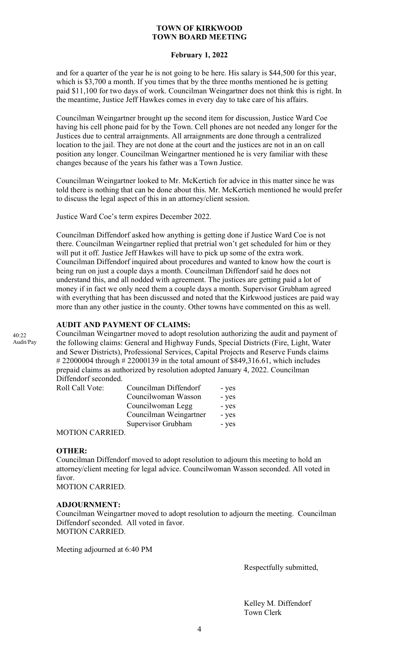#### **February 1, 2022**

and for a quarter of the year he is not going to be here. His salary is \$44,500 for this year, which is \$3,700 a month. If you times that by the three months mentioned he is getting paid \$11,100 for two days of work. Councilman Weingartner does not think this is right. In the meantime, Justice Jeff Hawkes comes in every day to take care of his affairs.

Councilman Weingartner brought up the second item for discussion, Justice Ward Coe having his cell phone paid for by the Town. Cell phones are not needed any longer for the Justices due to central arraignments. All arraignments are done through a centralized location to the jail. They are not done at the court and the justices are not in an on call position any longer. Councilman Weingartner mentioned he is very familiar with these changes because of the years his father was a Town Justice.

Councilman Weingartner looked to Mr. McKertich for advice in this matter since he was told there is nothing that can be done about this. Mr. McKertich mentioned he would prefer to discuss the legal aspect of this in an attorney/client session.

Justice Ward Coe's term expires December 2022.

Councilman Diffendorf asked how anything is getting done if Justice Ward Coe is not there. Councilman Weingartner replied that pretrial won't get scheduled for him or they will put it off. Justice Jeff Hawkes will have to pick up some of the extra work. Councilman Diffendorf inquired about procedures and wanted to know how the court is being run on just a couple days a month. Councilman Diffendorf said he does not understand this, and all nodded with agreement. The justices are getting paid a lot of money if in fact we only need them a couple days a month. Supervisor Grubham agreed with everything that has been discussed and noted that the Kirkwood justices are paid way more than any other justice in the county. Other towns have commented on this as well.

# **AUDIT AND PAYMENT OF CLAIMS:**

Councilman Weingartner moved to adopt resolution authorizing the audit and payment of the following claims: General and Highway Funds, Special Districts (Fire, Light, Water and Sewer Districts), Professional Services, Capital Projects and Reserve Funds claims # 22000004 through # 22000139 in the total amount of \$849,316.61, which includes prepaid claims as authorized by resolution adopted January 4, 2022. Councilman Diffendorf seconded.

| Roll Call Vote: | Councilman Diffendorf  | - yes |
|-----------------|------------------------|-------|
|                 | Councilwoman Wasson    | - yes |
|                 | Councilwoman Legg      | - yes |
|                 | Councilman Weingartner | - yes |
|                 | Supervisor Grubham     | - yes |
| MOTIONI OMDIED  |                        |       |

MOTION CARRIED.

## **OTHER:**

Councilman Diffendorf moved to adopt resolution to adjourn this meeting to hold an attorney/client meeting for legal advice. Councilwoman Wasson seconded. All voted in favor.

MOTION CARRIED.

## **ADJOURNMENT:**

Councilman Weingartner moved to adopt resolution to adjourn the meeting. Councilman Diffendorf seconded. All voted in favor. MOTION CARRIED.

Meeting adjourned at 6:40 PM

Respectfully submitted,

Kelley M. Diffendorf Town Clerk

 $40:22$ Audit/Pay